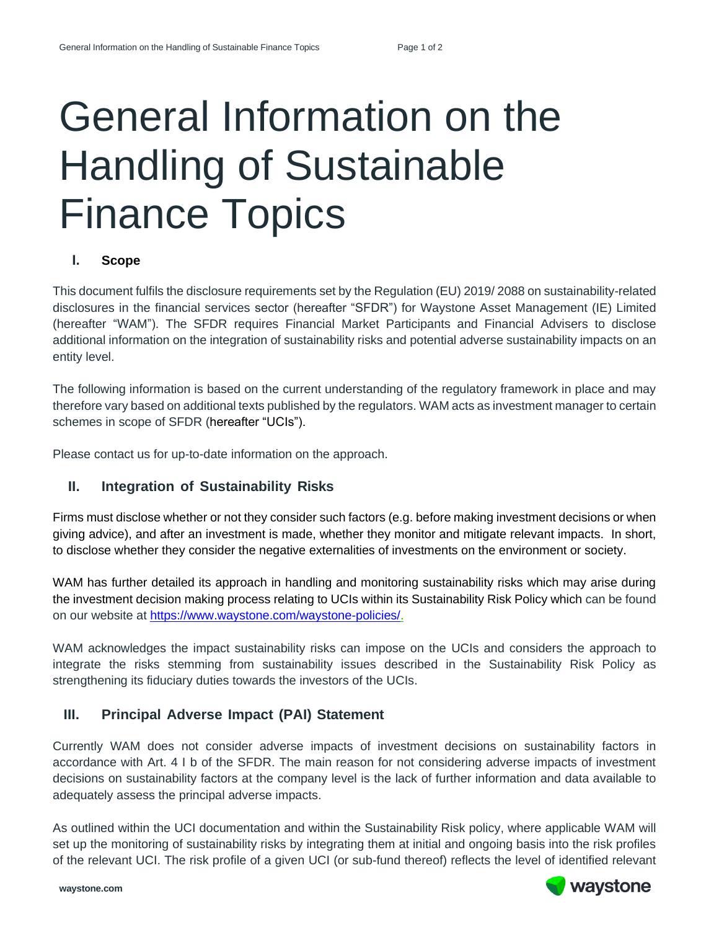# General Information on the Handling of Sustainable Finance Topics

### **I. Scope**

This document fulfils the disclosure requirements set by the Regulation (EU) 2019/ 2088 on sustainability-related disclosures in the financial services sector (hereafter "SFDR") for Waystone Asset Management (IE) Limited (hereafter "WAM"). The SFDR requires Financial Market Participants and Financial Advisers to disclose additional information on the integration of sustainability risks and potential adverse sustainability impacts on an entity level.

The following information is based on the current understanding of the regulatory framework in place and may therefore vary based on additional texts published by the regulators. WAM acts as investment manager to certain schemes in scope of SFDR (hereafter "UCIs").

Please contact us for up-to-date information on the approach.

# **II. Integration of Sustainability Risks**

Firms must disclose whether or not they consider such factors (e.g. before making investment decisions or when giving advice), and after an investment is made, whether they monitor and mitigate relevant impacts. In short, to disclose whether they consider the negative externalities of investments on the environment or society.

WAM has further detailed its approach in handling and monitoring sustainability risks which may arise during the investment decision making process relating to UCIs within its Sustainability Risk Policy which can be found on our website at [https://www.waystone.com/waystone-policies/.](https://www.waystone.com/waystone-policies/)

WAM acknowledges the impact sustainability risks can impose on the UCIs and considers the approach to integrate the risks stemming from sustainability issues described in the Sustainability Risk Policy as strengthening its fiduciary duties towards the investors of the UCIs.

# **III. Principal Adverse Impact (PAI) Statement**

Currently WAM does not consider adverse impacts of investment decisions on sustainability factors in accordance with Art. 4 I b of the SFDR. The main reason for not considering adverse impacts of investment decisions on sustainability factors at the company level is the lack of further information and data available to adequately assess the principal adverse impacts.

As outlined within the UCI documentation and within the Sustainability Risk policy, where applicable WAM will set up the monitoring of sustainability risks by integrating them at initial and ongoing basis into the risk profiles of the relevant UCI. The risk profile of a given UCI (or sub-fund thereof) reflects the level of identified relevant